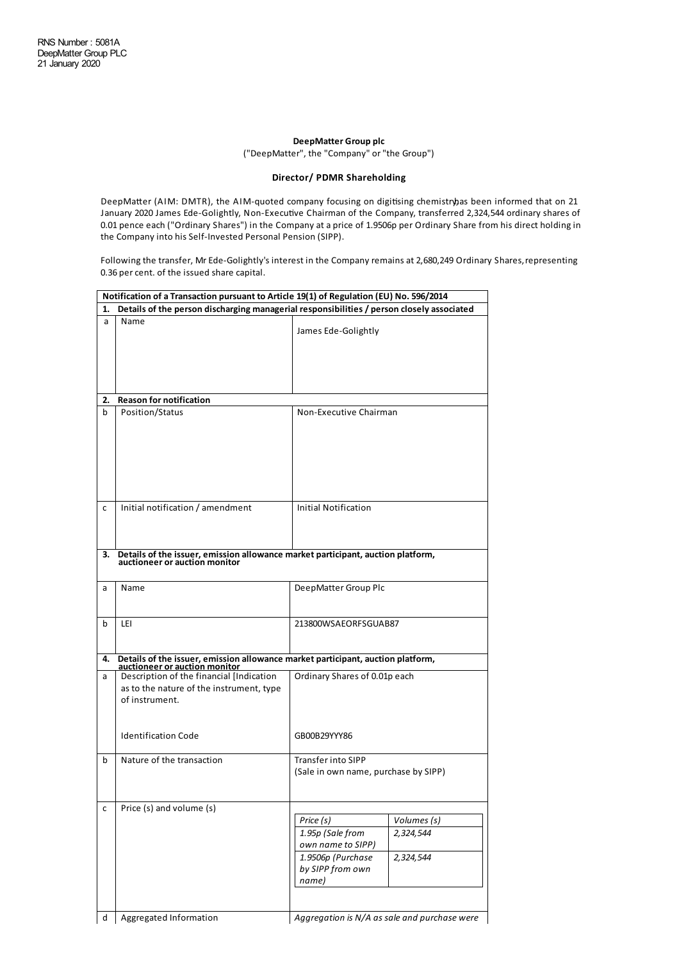## **DeepMatter Group plc**

("DeepMatter", the "Company" or"the Group")

## **Director/ PDMR Shareholding**

DeepMatter (AIM: DMTR), the AIM-quoted company focusing on digitising chemistry as been informed that on 21 January 2020 James Ede-Golightly, Non-Executive Chairman of the Company, transferred 2,324,544 ordinary shares of 0.01 pence each ("Ordinary Shares") in the Company at a price of 1.9506p per Ordinary Share from his direct holding in the Company into his Self-Invested Personal Pension (SIPP).

Following the transfer, Mr Ede-Golightly's interest in the Company remains at 2,680,249 Ordinary Shares, representing 0.36 per cent. of the issued share capital.

|    | Notification of a Transaction pursuant to Article 19(1) of Regulation (EU) No. 596/2014                                                 |                                                                                                                                               |  |  |  |
|----|-----------------------------------------------------------------------------------------------------------------------------------------|-----------------------------------------------------------------------------------------------------------------------------------------------|--|--|--|
| 1. | Details of the person discharging managerial responsibilities / person closely associated                                               |                                                                                                                                               |  |  |  |
| a  | Name                                                                                                                                    | James Ede-Golightly                                                                                                                           |  |  |  |
|    |                                                                                                                                         |                                                                                                                                               |  |  |  |
| 2. | <b>Reason for notification</b>                                                                                                          |                                                                                                                                               |  |  |  |
| b  | Position/Status                                                                                                                         | Non-Executive Chairman                                                                                                                        |  |  |  |
| c  | Initial notification / amendment                                                                                                        | Initial Notification                                                                                                                          |  |  |  |
| 3. | Details of the issuer, emission allowance market participant, auction platform, auctioneer or auction monitor                           |                                                                                                                                               |  |  |  |
| a  | Name                                                                                                                                    | DeepMatter Group Plc                                                                                                                          |  |  |  |
| b  | LEI                                                                                                                                     | 213800WSAEORFSGUAB87                                                                                                                          |  |  |  |
| 4. | Details of the issuer, emission allowance market participant, auction platform,                                                         |                                                                                                                                               |  |  |  |
| a  | auctioneer or auction monitor<br>Description of the financial [Indication<br>as to the nature of the instrument, type<br>of instrument. | Ordinary Shares of 0.01p each                                                                                                                 |  |  |  |
|    | <b>Identification Code</b>                                                                                                              | GB00B29YYY86                                                                                                                                  |  |  |  |
| b  | Nature of the transaction                                                                                                               | Transfer into SIPP<br>(Sale in own name, purchase by SIPP)                                                                                    |  |  |  |
| с  | Price (s) and volume (s)                                                                                                                | Price (s)<br>Volumes (s)<br>1.95p (Sale from<br>2,324,544<br>own name to SIPP)<br>1.9506p (Purchase<br>2,324,544<br>by SIPP from own<br>name) |  |  |  |
| d  | Aggregated Information                                                                                                                  | Aggregation is N/A as sale and purchase were                                                                                                  |  |  |  |